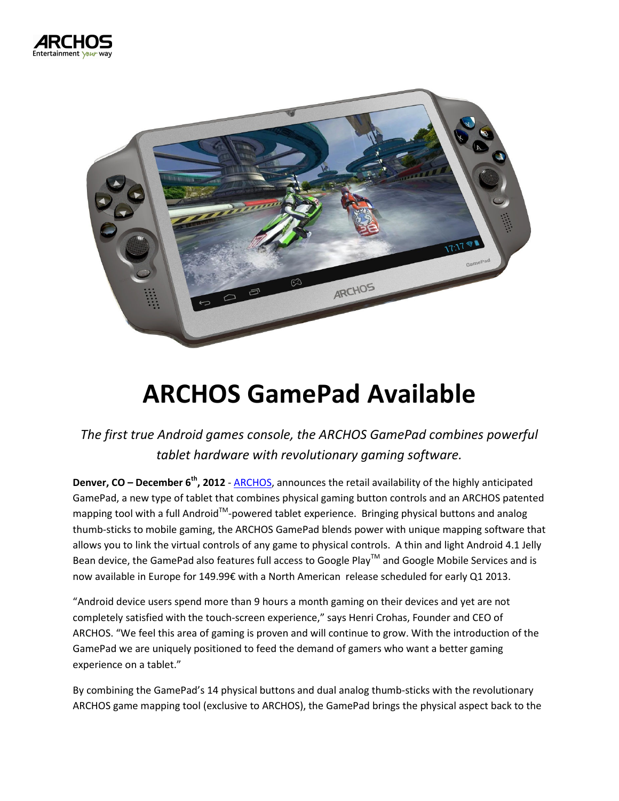



# **ARCHOS GamePad Available**

# *The first true Android games console, the ARCHOS GamePad combines powerful tablet hardware with revolutionary gaming software.*

**Denver, CO – December 6th, 2012** - ARCHOS, announces the retail availability of the highly anticipated GamePad, a new type of tablet that combines physical gaming button controls and an ARCHOS patented mapping tool with a full Android™-powered tablet experience. Bringing physical buttons and analog thumb-sticks to mobile gaming, the ARCHOS GamePad blends power with unique mapping software that allows you to link the virtual controls of any game to physical controls. A thin and light Android 4.1 Jelly Bean device, the GamePad also features full access to Google Play™ and Google Mobile Services and is now available in Europe for 149.99€ with a North American release scheduled for early Q1 2013.

"Android device users spend more than 9 hours a month gaming on their devices and yet are not completely satisfied with the touch-screen experience," says Henri Crohas, Founder and CEO of ARCHOS. "We feel this area of gaming is proven and will continue to grow. With the introduction of the GamePad we are uniquely positioned to feed the demand of gamers who want a better gaming experience on a tablet."

By combining the GamePad's 14 physical buttons and dual analog thumb-sticks with the revolutionary ARCHOS game mapping tool (exclusive to ARCHOS), the GamePad brings the physical aspect back to the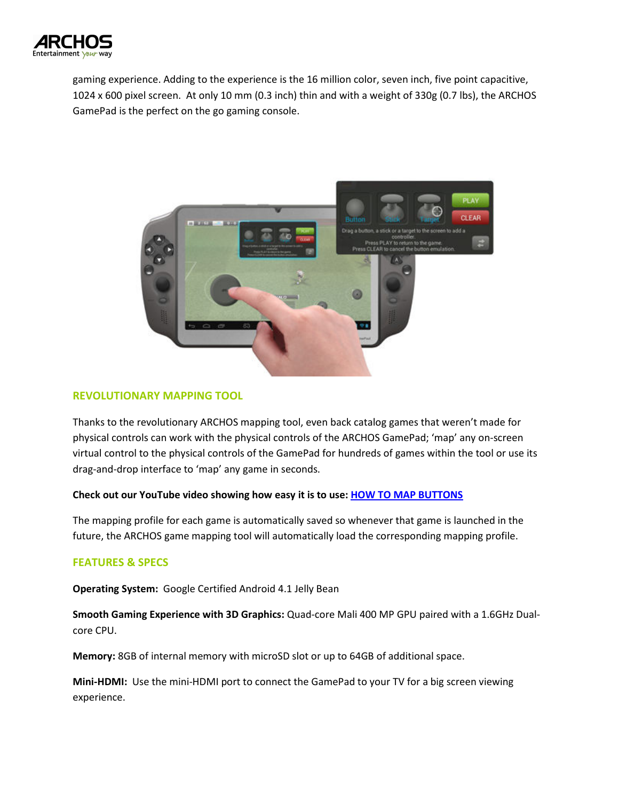

gaming experience. Adding to the experience is the 16 million color, seven inch, five point capacitive, 1024 x 600 pixel screen. At only 10 mm (0.3 inch) thin and with a weight of 330g (0.7 lbs), the ARCHOS GamePad is the perfect on the go gaming console.



## **REVOLUTIONARY MAPPING TOOL**

Thanks to the revolutionary ARCHOS mapping tool, even back catalog games that weren't made for physical controls can work with the physical controls of the ARCHOS GamePad; 'map' any on-screen virtual control to the physical controls of the GamePad for hundreds of games within the tool or use its drag-and-drop interface to 'map' any game in seconds.

#### **Check out our YouTube video showing how easy it is to use: HOW TO MAP BUTTONS**

The mapping profile for each game is automatically saved so whenever that game is launched in the future, the ARCHOS game mapping tool will automatically load the corresponding mapping profile.

#### **FEATURES & SPECS**

**Operating System:** Google Certified Android 4.1 Jelly Bean

**Smooth Gaming Experience with 3D Graphics:** Quad-core Mali 400 MP GPU paired with a 1.6GHz Dualcore CPU.

**Memory:** 8GB of internal memory with microSD slot or up to 64GB of additional space.

**Mini-HDMI:** Use the mini-HDMI port to connect the GamePad to your TV for a big screen viewing experience.